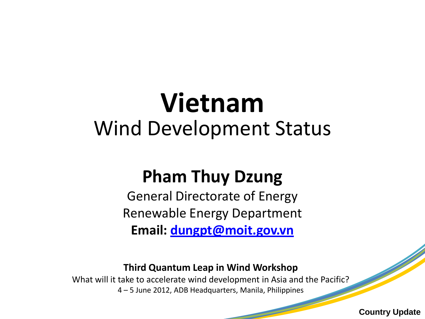# **Vietnam**  Wind Development Status

## **Pham Thuy Dzung**

General Directorate of Energy Renewable Energy Department **Email: [dungpt@moit.gov.vn](mailto:dungpt@moit.gov.vn)**

#### **Third Quantum Leap in Wind Workshop**

What will it take to accelerate wind development in Asia and the Pacific? 4 – 5 June 2012, ADB Headquarters, Manila, Philippines

**Country Update**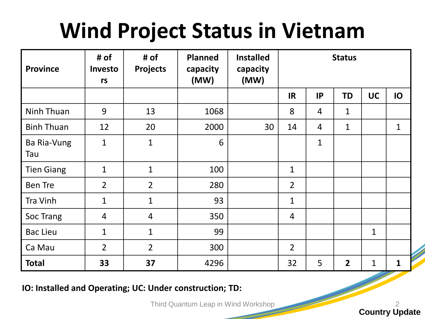# **Wind Project Status in Vietnam**

| <b>Province</b>    | # of<br>Investo<br>rs | # of<br><b>Projects</b> | <b>Planned</b><br>capacity<br>(MW) | <b>Installed</b><br>capacity<br>(MW) | <b>Status</b>  |                |                |              |             |
|--------------------|-----------------------|-------------------------|------------------------------------|--------------------------------------|----------------|----------------|----------------|--------------|-------------|
|                    |                       |                         |                                    |                                      | <b>IR</b>      | IP             | <b>TD</b>      | <b>UC</b>    | IO          |
| Ninh Thuan         | 9                     | 13                      | 1068                               |                                      | 8              | $\overline{4}$ | 1              |              |             |
| <b>Binh Thuan</b>  | 12                    | 20                      | 2000                               | 30                                   | 14             | $\overline{4}$ | $\mathbf{1}$   |              | $\mathbf 1$ |
| Ba Ria-Vung<br>Tau | $\mathbf 1$           | $\mathbf{1}$            | 6                                  |                                      |                | $\mathbf 1$    |                |              |             |
| <b>Tien Giang</b>  | $\mathbf{1}$          | $\mathbf{1}$            | 100                                |                                      | $\mathbf{1}$   |                |                |              |             |
| <b>Ben Tre</b>     | $\overline{2}$        | $\overline{2}$          | 280                                |                                      | $\overline{2}$ |                |                |              |             |
| Tra Vinh           | $\mathbf{1}$          | $\mathbf{1}$            | 93                                 |                                      | $\mathbf{1}$   |                |                |              |             |
| Soc Trang          | 4                     | $\overline{4}$          | 350                                |                                      | $\overline{4}$ |                |                |              |             |
| <b>Bac Lieu</b>    | $\mathbf{1}$          | $\mathbf{1}$            | 99                                 |                                      |                |                |                | $\mathbf{1}$ |             |
| Ca Mau             | $\overline{2}$        | $\overline{2}$          | 300                                |                                      | $\overline{2}$ |                |                |              |             |
| <b>Total</b>       | 33                    | 37                      | 4296                               |                                      | 32             | 5              | $\overline{2}$ | 1            | 1           |

**IO: Installed and Operating; UC: Under construction; TD:** 

Third Quantum Leap in Wind Workshop 2